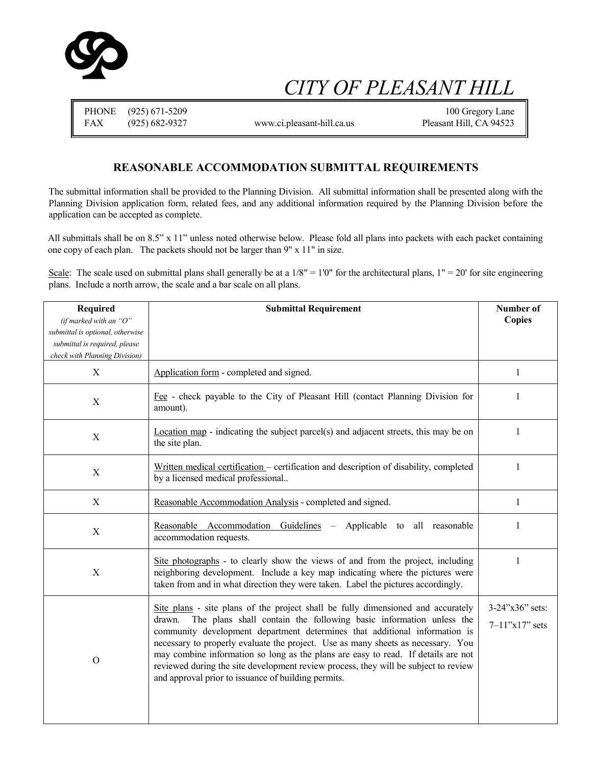

# *CITY OF PLEASANT HILL*

|     | PHONE (925) 671-5209 |                            | 100 Gregory Lane        |
|-----|----------------------|----------------------------|-------------------------|
| FAX | (925) 682-9327       | www.ci.pleasant-hill.ca.us | Pleasant Hill, CA 94523 |

#### **REASONABLE ACCOMMODATION SUBMITTAL REQUIREMENTS**

The submittal information shall be provided to the Planning Division. All submittal information shall be presented along with the Planning Division application form, related fees, and any additional information required by the Planning Division before the application can be accepted as complete.

All submittals shall be on 8.5" x 11" unless noted otherwise below. Please fold all plans into packets with each packet containing one copy of each plan. The packets should not be larger than 9" x 11" in size.

Scale: The scale used on submittal plans shall generally be at a  $1/8" = 1'0"$  for the architectural plans,  $1" = 20'$  for site engineering plans. Include a north arrow, the scale and a bar scale on all plans.

| <b>Required</b>                  | <b>Submittal Requirement</b>                                                                                                                                                                                                                                                                                                               | Number of               |
|----------------------------------|--------------------------------------------------------------------------------------------------------------------------------------------------------------------------------------------------------------------------------------------------------------------------------------------------------------------------------------------|-------------------------|
| (if marked with an " $O$ "       |                                                                                                                                                                                                                                                                                                                                            | <b>Copies</b>           |
| submittal is optional, otherwise |                                                                                                                                                                                                                                                                                                                                            |                         |
| submittal is required, please    |                                                                                                                                                                                                                                                                                                                                            |                         |
| check with Planning Division)    |                                                                                                                                                                                                                                                                                                                                            |                         |
| X                                | Application form - completed and signed.                                                                                                                                                                                                                                                                                                   | 1                       |
| X                                | Fee - check payable to the City of Pleasant Hill (contact Planning Division for<br>amount).                                                                                                                                                                                                                                                | 1                       |
| X                                | Location map - indicating the subject parcel(s) and adjacent streets, this may be on<br>the site plan.                                                                                                                                                                                                                                     | 1                       |
| X                                | Written medical certification - certification and description of disability, completed<br>by a licensed medical professional                                                                                                                                                                                                               | 1                       |
| X                                | Reasonable Accommodation Analysis - completed and signed.                                                                                                                                                                                                                                                                                  | 1                       |
| $\mathbf X$                      | Reasonable Accommodation Guidelines<br>Applicable to all reasonable<br>$\overline{\phantom{m}}$<br>accommodation requests.                                                                                                                                                                                                                 | 1                       |
| X                                | Site photographs - to clearly show the views of and from the project, including<br>neighboring development. Include a key map indicating where the pictures were<br>taken from and in what direction they were taken. Label the pictures accordingly.                                                                                      | 1                       |
|                                  | Site plans - site plans of the project shall be fully dimensioned and accurately                                                                                                                                                                                                                                                           | $3-24$ "x $36$ " sets:  |
|                                  | The plans shall contain the following basic information unless the<br>drawn.                                                                                                                                                                                                                                                               |                         |
| $\Omega$                         | community development department determines that additional information is<br>necessary to properly evaluate the project. Use as many sheets as necessary. You<br>may combine information so long as the plans are easy to read. If details are not<br>reviewed during the site development review process, they will be subject to review | $7 - 11$ "x $17$ " sets |
|                                  | and approval prior to issuance of building permits.                                                                                                                                                                                                                                                                                        |                         |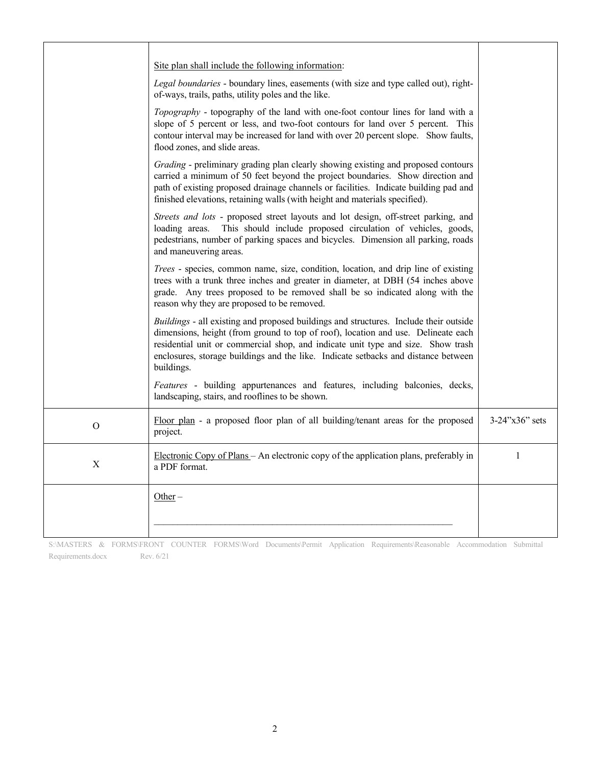|             | Site plan shall include the following information:<br>Legal boundaries - boundary lines, easements (with size and type called out), right-<br>of-ways, trails, paths, utility poles and the like.<br>Topography - topography of the land with one-foot contour lines for land with a<br>slope of 5 percent or less, and two-foot contours for land over 5 percent. This<br>contour interval may be increased for land with over 20 percent slope. Show faults,<br>flood zones, and slide areas.<br>Grading - preliminary grading plan clearly showing existing and proposed contours<br>carried a minimum of 50 feet beyond the project boundaries. Show direction and<br>path of existing proposed drainage channels or facilities. Indicate building pad and<br>finished elevations, retaining walls (with height and materials specified). |                       |
|-------------|-----------------------------------------------------------------------------------------------------------------------------------------------------------------------------------------------------------------------------------------------------------------------------------------------------------------------------------------------------------------------------------------------------------------------------------------------------------------------------------------------------------------------------------------------------------------------------------------------------------------------------------------------------------------------------------------------------------------------------------------------------------------------------------------------------------------------------------------------|-----------------------|
|             | Streets and lots - proposed street layouts and lot design, off-street parking, and<br>This should include proposed circulation of vehicles, goods,<br>loading areas.<br>pedestrians, number of parking spaces and bicycles. Dimension all parking, roads<br>and maneuvering areas.                                                                                                                                                                                                                                                                                                                                                                                                                                                                                                                                                            |                       |
|             | Trees - species, common name, size, condition, location, and drip line of existing<br>trees with a trunk three inches and greater in diameter, at DBH (54 inches above<br>grade. Any trees proposed to be removed shall be so indicated along with the<br>reason why they are proposed to be removed.                                                                                                                                                                                                                                                                                                                                                                                                                                                                                                                                         |                       |
|             | Buildings - all existing and proposed buildings and structures. Include their outside<br>dimensions, height (from ground to top of roof), location and use. Delineate each<br>residential unit or commercial shop, and indicate unit type and size. Show trash<br>enclosures, storage buildings and the like. Indicate setbacks and distance between<br>buildings.                                                                                                                                                                                                                                                                                                                                                                                                                                                                            |                       |
|             | Features - building appurtenances and features, including balconies, decks,<br>landscaping, stairs, and rooflines to be shown.                                                                                                                                                                                                                                                                                                                                                                                                                                                                                                                                                                                                                                                                                                                |                       |
| $\mathbf O$ | Floor plan - a proposed floor plan of all building/tenant areas for the proposed<br>project.                                                                                                                                                                                                                                                                                                                                                                                                                                                                                                                                                                                                                                                                                                                                                  | $3-24$ "x $36$ " sets |
| $\mathbf X$ | Electronic Copy of Plans - An electronic copy of the application plans, preferably in<br>a PDF format.                                                                                                                                                                                                                                                                                                                                                                                                                                                                                                                                                                                                                                                                                                                                        | 1                     |
|             | $Other-$                                                                                                                                                                                                                                                                                                                                                                                                                                                                                                                                                                                                                                                                                                                                                                                                                                      |                       |

S:\MASTERS & FORMS\FRONT COUNTER FORMS\Word Documents\Permit Application Requirements\Reasonable Accommodation Submittal Requirements.docx Rev. 6/21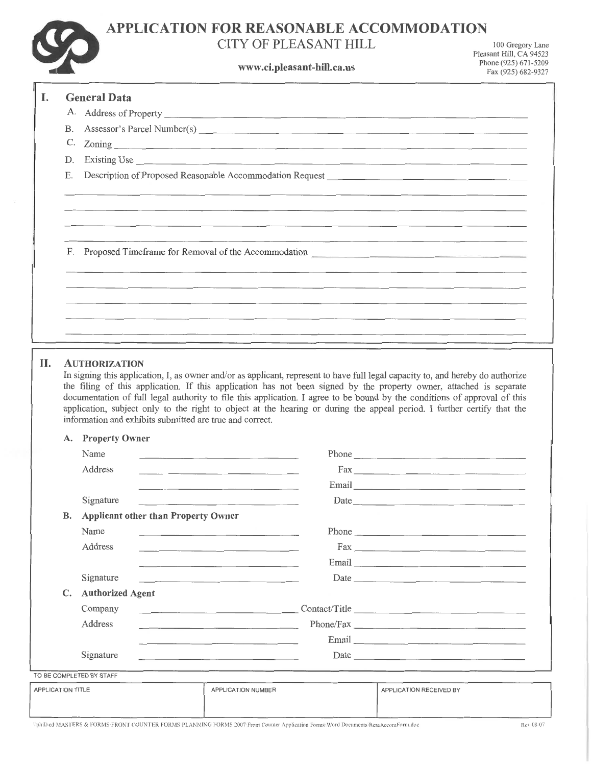

## **APPLICATION FOR REASONABLE ACCOMMODATION**

### **CITY OF PLEASANT HILL**

**www.ci.pleasant-hill.ca.us** Phone (925) 671-5209

I 00 Gregory Lane Pleasant Hill, CA 94523

|                   |                                               | <u>weelepremoment manieusment</u>                                                                                                                                                                                                                                                                                                                                                                                                       | Fax (925) 682-9327 |
|-------------------|-----------------------------------------------|-----------------------------------------------------------------------------------------------------------------------------------------------------------------------------------------------------------------------------------------------------------------------------------------------------------------------------------------------------------------------------------------------------------------------------------------|--------------------|
| I.                | <b>General Data</b>                           |                                                                                                                                                                                                                                                                                                                                                                                                                                         |                    |
|                   |                                               |                                                                                                                                                                                                                                                                                                                                                                                                                                         |                    |
| В.                |                                               | Assessor's Parcel Number(s)                                                                                                                                                                                                                                                                                                                                                                                                             |                    |
| C.                |                                               |                                                                                                                                                                                                                                                                                                                                                                                                                                         |                    |
| D.                |                                               |                                                                                                                                                                                                                                                                                                                                                                                                                                         |                    |
| Е.                |                                               | Description of Proposed Reasonable Accommodation Request                                                                                                                                                                                                                                                                                                                                                                                |                    |
|                   |                                               |                                                                                                                                                                                                                                                                                                                                                                                                                                         |                    |
|                   |                                               | F. Proposed Timeframe for Removal of the Accommodation __________________________                                                                                                                                                                                                                                                                                                                                                       |                    |
|                   |                                               |                                                                                                                                                                                                                                                                                                                                                                                                                                         |                    |
|                   |                                               |                                                                                                                                                                                                                                                                                                                                                                                                                                         |                    |
|                   |                                               |                                                                                                                                                                                                                                                                                                                                                                                                                                         |                    |
|                   |                                               |                                                                                                                                                                                                                                                                                                                                                                                                                                         |                    |
|                   |                                               | the filing of this application. If this application has not been signed by the property owner, attached is separate<br>documentation of full legal authority to file this application. I agree to be bound by the conditions of approval of this<br>application, subject only to the right to object at the hearing or during the appeal period. I further certify that the<br>information and exhibits submitted are true and correct. |                    |
|                   | A. Property Owner                             |                                                                                                                                                                                                                                                                                                                                                                                                                                         |                    |
|                   | Name                                          | Phone<br>the control of the control of the control of the control of the control of                                                                                                                                                                                                                                                                                                                                                     |                    |
|                   | Address                                       | the control of the control of the control of the control of the control of                                                                                                                                                                                                                                                                                                                                                              |                    |
|                   |                                               | Email <u>and a communication</u>                                                                                                                                                                                                                                                                                                                                                                                                        |                    |
|                   | Signature                                     | Date                                                                                                                                                                                                                                                                                                                                                                                                                                    |                    |
|                   | <b>B.</b> Applicant other than Property Owner |                                                                                                                                                                                                                                                                                                                                                                                                                                         |                    |
|                   | Name                                          | the control of the control of the control of the control of the control of                                                                                                                                                                                                                                                                                                                                                              |                    |
|                   | Address                                       |                                                                                                                                                                                                                                                                                                                                                                                                                                         |                    |
|                   |                                               | Email and the company of the company of the company of the company of the company of the company of the company of the company of the company of the company of the company of the company of the company of the company of th                                                                                                                                                                                                          |                    |
|                   | Signature                                     | the control of the control of the control of the control of the control of the control of                                                                                                                                                                                                                                                                                                                                               |                    |
|                   | C. Authorized Agent                           |                                                                                                                                                                                                                                                                                                                                                                                                                                         |                    |
|                   | Company                                       | Contact/Title                                                                                                                                                                                                                                                                                                                                                                                                                           |                    |
|                   | Address                                       | the contract of the contract of the contract of the contract of the contract of the contract of                                                                                                                                                                                                                                                                                                                                         |                    |
|                   |                                               | Email <u>contract and contract and contract and contract and contract and contract and contract and contract and contract and contract and contract and contract and contract and contract and contract and contract and contrac</u>                                                                                                                                                                                                    |                    |
|                   | Signature                                     | Date<br>the control of the control of the control of the control of the control of the control of                                                                                                                                                                                                                                                                                                                                       |                    |
|                   | TO BE COMPLETED BY STAFF                      |                                                                                                                                                                                                                                                                                                                                                                                                                                         |                    |
| APPLICATION TITLE |                                               | APPLICATION NUMBER<br>APPLICATION RECEIVED BY                                                                                                                                                                                                                                                                                                                                                                                           |                    |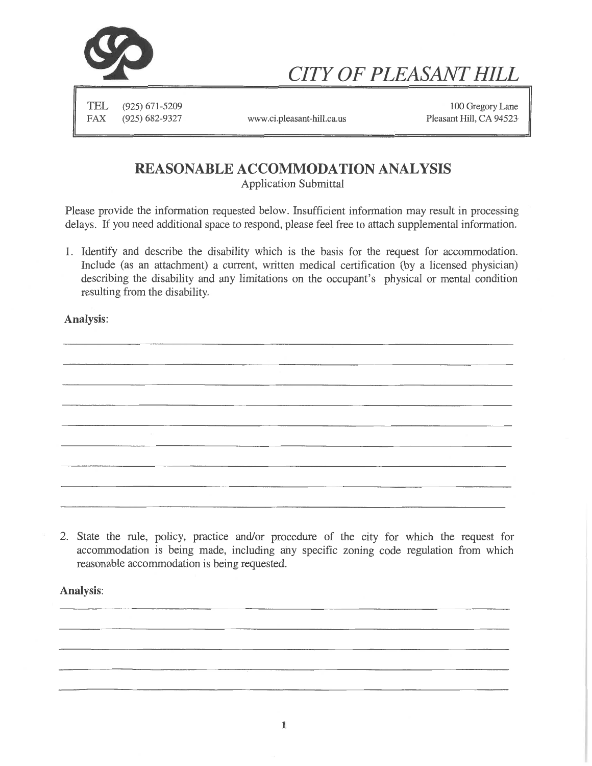

# *CITY OF PLEASANT HILL*

TEL (925) 671-5209 FAX (925) 682-9327

www.ci.pleasant-hill.ca.us Pleasant Hill, CA 94523

100 Gregory Lane

### **REASONABLE ACCOMMODATION ANALYSIS**

Application Submittal

Please provide the information requested below. Insufficient information may result in processing delays. If you need additional space to respond, please feel free to attach supplemental information.

1. Identify and describe the disability which is the basis for the request for accommodation. Include (as an attachment) a current, written medical certification (by a licensed physician) describing the disability and any limitations on the occupant's physical or mental condition resulting from the disability.

Analysis:

2. State the rule, policy, practice and/or procedure of the city for which the request for accommodation is being made, including any specific zoning code regulation from which reasonable accommodation is being requested.

Analysis: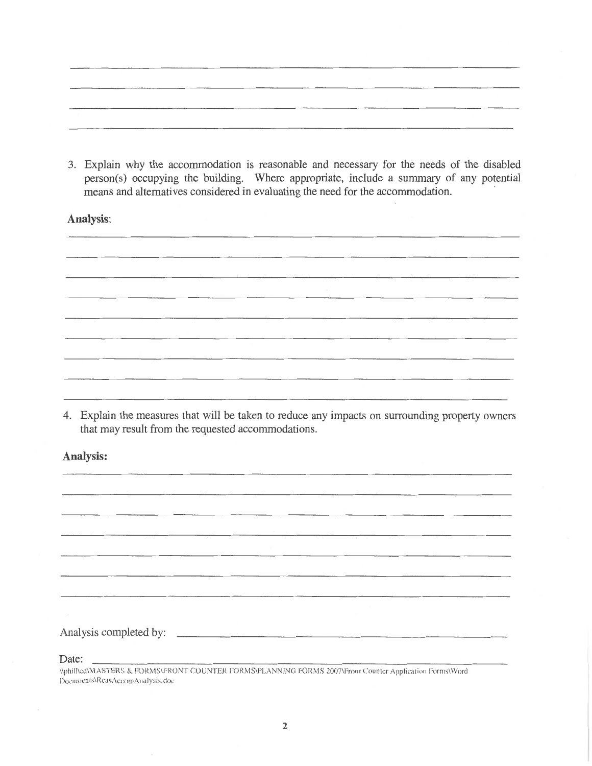3. Explain why the accommodation is reasonable and necessary for the needs of the disabled person(s) occupying the building. Where appropriate, include a summary of any potential means and alternatives considered in evaluating the need for the accommodation.

Analysis:

4. Explain the measures that will be taken to reduce any impacts on surrounding property owners that may result from the requested accommodations.

Analysis:

Analysis completed by:

Date:

Documents\RcasAccomAnalysis.doc \\phill\cd\MASTERS & FORMS\FRONT COUNTER FORMS\PLANNING FORMS 2007\Front Counter Application Forms\Word